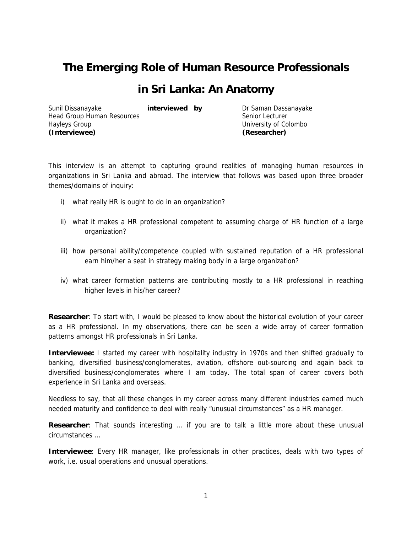## **The Emerging Role of Human Resource Professionals**

## **in Sri Lanka: An Anatomy**

Sunil Dissanayake **interviewed by** Dr Saman Dassanayake Head Group Human Resources Senior Lecturer Hayleys Group University of Colombo **(Interviewee) (Researcher)** 

This interview is an attempt to capturing ground realities of managing human resources in organizations in Sri Lanka and abroad. The interview that follows was based upon three broader themes/domains of inquiry:

- i) what really HR is ought to do in an organization?
- ii) what it makes a HR professional competent to assuming charge of HR function of a large organization?
- iii) how personal ability/competence coupled with sustained reputation of a HR professional earn him/her a seat in strategy making body in a large organization?
- iv) what career formation patterns are contributing mostly to a HR professional in reaching higher levels in his/her career?

**Researcher**: To start with, I would be pleased to know about the historical evolution of your career as a HR professional. In my observations, there can be seen a wide array of career formation patterns amongst HR professionals in Sri Lanka.

**Interviewee:** I started my career with hospitality industry in 1970s and then shifted gradually to banking, diversified business/conglomerates, aviation, offshore out-sourcing and again back to diversified business/conglomerates where I am today. The total span of career covers both experience in Sri Lanka and overseas.

Needless to say, that all these changes in my career across many different industries earned much needed maturity and confidence to deal with really "unusual circumstances" as a HR manager.

**Researcher**: That sounds interesting … if you are to talk a little more about these unusual circumstances …

**Interviewee**: Every HR manager, like professionals in other practices, deals with two types of work, i.e. usual operations and unusual operations.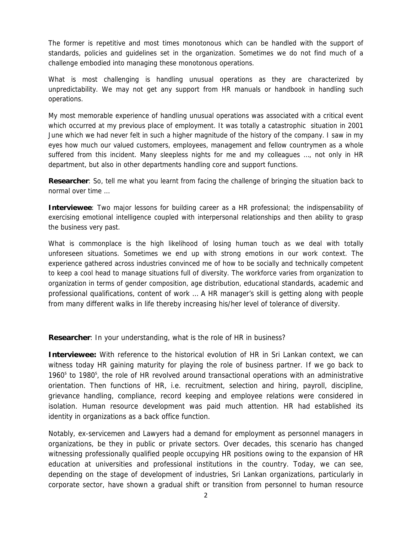The former is repetitive and most times monotonous which can be handled with the support of standards, policies and guidelines set in the organization. Sometimes we do not find much of a challenge embodied into managing these monotonous operations.

What is most challenging is handling unusual operations as they are characterized by unpredictability. We may not get any support from HR manuals or handbook in handling such operations.

My most memorable experience of handling unusual operations was associated with a critical event which occurred at my previous place of employment. It was totally a catastrophic situation in 2001 June which we had never felt in such a higher magnitude of the history of the company. I saw in my eyes how much our valued customers, employees, management and fellow countrymen as a whole suffered from this incident. Many sleepless nights for me and my colleagues ..., not only in HR department, but also in other departments handling core and support functions.

**Researcher**: So, tell me what you learnt from facing the challenge of bringing the situation back to normal over time …

**Interviewee**: Two major lessons for building career as a HR professional; the indispensability of exercising emotional intelligence coupled with interpersonal relationships and then ability to grasp the business very past.

What is commonplace is the high likelihood of losing human touch as we deal with totally unforeseen situations. Sometimes we end up with strong emotions in our work context. The experience gathered across industries convinced me of how to be socially and technically competent to keep a cool head to manage situations full of diversity. The workforce varies from organization to organization in terms of gender composition, age distribution, educational standards, academic and professional qualifications, content of work … A HR manager's skill is getting along with people from many different walks in life thereby increasing his/her level of tolerance of diversity.

**Researcher**: In your understanding, what is the role of HR in business?

**Interviewee:** With reference to the historical evolution of HR in Sri Lankan context, we can witness today HR gaining maturity for playing the role of business partner. If we go back to 1960<sup>s</sup> to 1980<sup>s</sup>, the role of HR revolved around transactional operations with an administrative orientation. Then functions of HR, i.e. recruitment, selection and hiring, payroll, discipline, grievance handling, compliance, record keeping and employee relations were considered in isolation. Human resource development was paid much attention. HR had established its identity in organizations as a back office function.

Notably, ex-servicemen and Lawyers had a demand for employment as personnel managers in organizations, be they in public or private sectors. Over decades, this scenario has changed witnessing professionally qualified people occupying HR positions owing to the expansion of HR education at universities and professional institutions in the country. Today, we can see, depending on the stage of development of industries, Sri Lankan organizations, particularly in corporate sector, have shown a gradual shift or transition from personnel to human resource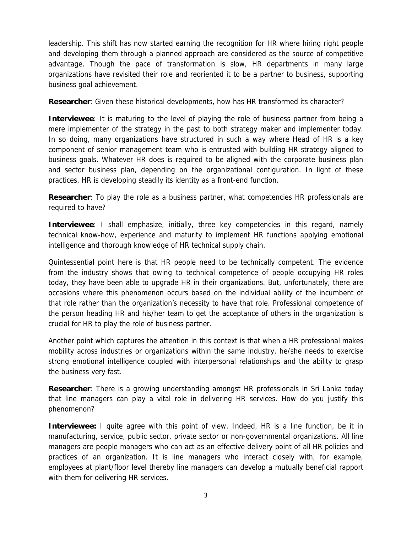leadership. This shift has now started earning the recognition for HR where hiring right people and developing them through a planned approach are considered as the source of competitive advantage. Though the pace of transformation is slow, HR departments in many large organizations have revisited their role and reoriented it to be a partner to business, supporting business goal achievement.

**Researcher**: Given these historical developments, how has HR transformed its character?

**Interviewee**: It is maturing to the level of playing the role of business partner from being a mere implementer of the strategy in the past to both strategy maker and implementer today. In so doing, many organizations have structured in such a way where Head of HR is a key component of senior management team who is entrusted with building HR strategy aligned to business goals. Whatever HR does is required to be aligned with the corporate business plan and sector business plan, depending on the organizational configuration. In light of these practices, HR is developing steadily its identity as a front-end function.

**Researcher**: To play the role as a business partner, what competencies HR professionals are required to have?

**Interviewee**: I shall emphasize, initially, three key competencies in this regard, namely technical know-how, experience and maturity to implement HR functions applying emotional intelligence and thorough knowledge of HR technical supply chain.

Quintessential point here is that HR people need to be technically competent. The evidence from the industry shows that owing to technical competence of people occupying HR roles today, they have been able to upgrade HR in their organizations. But, unfortunately, there are occasions where this phenomenon occurs based on the individual ability of the incumbent of that role rather than the organization's necessity to have that role. Professional competence of the person heading HR and his/her team to get the acceptance of others in the organization is crucial for HR to play the role of business partner.

Another point which captures the attention in this context is that when a HR professional makes mobility across industries or organizations within the same industry, he/she needs to exercise strong emotional intelligence coupled with interpersonal relationships and the ability to grasp the business very fast.

**Researcher**: There is a growing understanding amongst HR professionals in Sri Lanka today that line managers can play a vital role in delivering HR services. How do you justify this phenomenon?

**Interviewee:** I quite agree with this point of view. Indeed, HR is a line function, be it in manufacturing, service, public sector, private sector or non-governmental organizations. All line managers are people managers who can act as an effective delivery point of all HR policies and practices of an organization. It is line managers who interact closely with, for example, employees at plant/floor level thereby line managers can develop a mutually beneficial rapport with them for delivering HR services.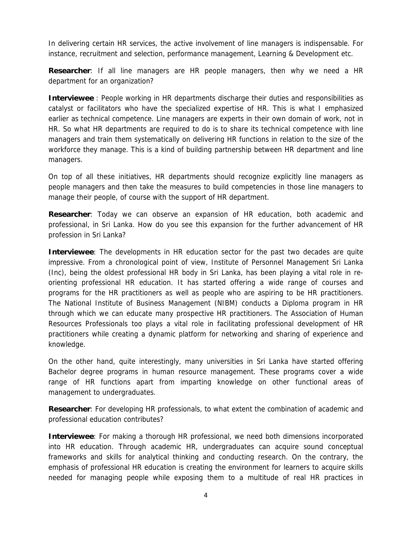In delivering certain HR services, the active involvement of line managers is indispensable. For instance, recruitment and selection, performance management, Learning & Development etc.

**Researcher**: If all line managers are HR people managers, then why we need a HR department for an organization?

**Interviewee** : People working in HR departments discharge their duties and responsibilities as catalyst or facilitators who have the specialized expertise of HR. This is what I emphasized earlier as technical competence. Line managers are experts in their own domain of work, not in HR. So what HR departments are required to do is to share its technical competence with line managers and train them systematically on delivering HR functions in relation to the size of the workforce they manage. This is a kind of building partnership between HR department and line managers.

On top of all these initiatives, HR departments should recognize explicitly line managers as people managers and then take the measures to build competencies in those line managers to manage their people, of course with the support of HR department.

**Researcher**: Today we can observe an expansion of HR education, both academic and professional, in Sri Lanka. How do you see this expansion for the further advancement of HR profession in Sri Lanka?

**Interviewee**: The developments in HR education sector for the past two decades are quite impressive. From a chronological point of view, Institute of Personnel Management Sri Lanka (Inc), being the oldest professional HR body in Sri Lanka, has been playing a vital role in reorienting professional HR education. It has started offering a wide range of courses and programs for the HR practitioners as well as people who are aspiring to be HR practitioners. The National Institute of Business Management (NIBM) conducts a Diploma program in HR through which we can educate many prospective HR practitioners. The Association of Human Resources Professionals too plays a vital role in facilitating professional development of HR practitioners while creating a dynamic platform for networking and sharing of experience and knowledge.

On the other hand, quite interestingly, many universities in Sri Lanka have started offering Bachelor degree programs in human resource management. These programs cover a wide range of HR functions apart from imparting knowledge on other functional areas of management to undergraduates.

**Researcher**: For developing HR professionals, to what extent the combination of academic and professional education contributes?

**Interviewee**: For making a thorough HR professional, we need both dimensions incorporated into HR education. Through academic HR, undergraduates can acquire sound conceptual frameworks and skills for analytical thinking and conducting research. On the contrary, the emphasis of professional HR education is creating the environment for learners to acquire skills needed for managing people while exposing them to a multitude of real HR practices in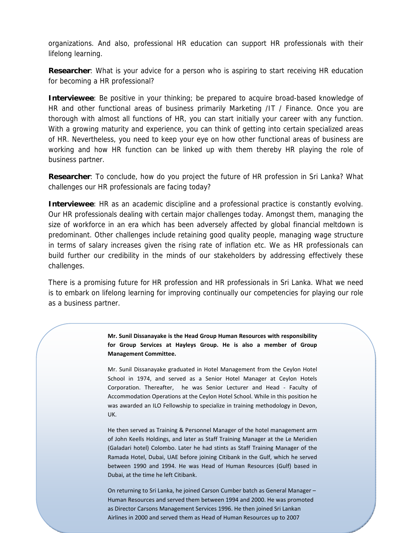organizations. And also, professional HR education can support HR professionals with their lifelong learning.

**Researcher:** What is your advice for a person who is aspiring to start receiving HR education for becoming a HR professional?

**Interviewee**: Be positive in your thinking; be prepared to acquire broad-based knowledge of HR and other functional areas of business primarily Marketing /IT / Finance. Once you are thorough with almost all functions of HR, you can start initially your career with any function. With a growing maturity and experience, you can think of getting into certain specialized areas of HR. Nevertheless, you need to keep your eye on how other functional areas of business are working and how HR function can be linked up with them thereby HR playing the role of business partner.

**Researcher**: To conclude, how do you project the future of HR profession in Sri Lanka? What challenges our HR professionals are facing today?

**Interviewee**: HR as an academic discipline and a professional practice is constantly evolving. Our HR professionals dealing with certain major challenges today. Amongst them, managing the size of workforce in an era which has been adversely affected by global financial meltdown is predominant. Other challenges include retaining good quality people, managing wage structure in terms of salary increases given the rising rate of inflation etc. We as HR professionals can build further our credibility in the minds of our stakeholders by addressing effectively these challenges.

There is a promising future for HR profession and HR professionals in Sri Lanka. What we need is to embark on lifelong learning for improving continually our competencies for playing our role as a business partner.

> **Mr. Sunil Dissanayake is the Head Group Human Resources with responsibility for Group Services at Hayleys Group. He is also a member of Group Management Committee.**

> Mr. Sunil Dissanayake graduated in Hotel Management from the Ceylon Hotel School in 1974, and served as a Senior Hotel Manager at Ceylon Hotels Corporation. Thereafter, he was Senior Lecturer and Head - Faculty of Accommodation Operations at the Ceylon Hotel School. While in this position he was awarded an ILO Fellowship to specialize in training methodology in Devon, UK.

> He then served as Training & Personnel Manager of the hotel management arm of John Keells Holdings, and later as Staff Training Manager at the Le Meridien (Galadari hotel) Colombo. Later he had stints as Staff Training Manager of the Ramada Hotel, Dubai, UAE before joining Citibank in the Gulf, which he served between 1990 and 1994. He was Head of Human Resources (Gulf) based in Dubai, at the time he left Citibank.

> 5 Human Resources and served them between 1994 and 2000. He was promoted On returning to Sri Lanka, he joined Carson Cumber batch as General Manager – as Director Carsons Management Services 1996. He then joined Sri Lankan Airlines in 2000 and served them as Head of Human Resources up to 2007